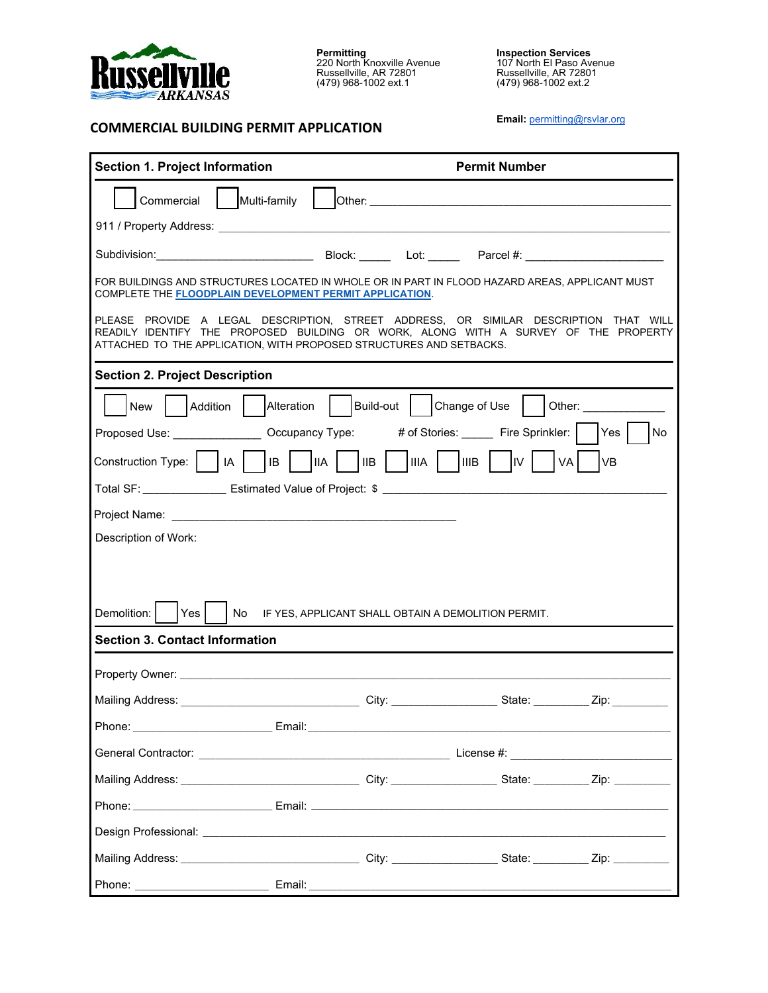

**COMMERCIAL BUILDING PERMIT APPLICATION**

**Permitting**<br>220 North Knoxville Avenue<br>Russellville, AR 72801<br>(479) 968-1002 ext.1

**Inspection Services**<br>107 North El Paso Avenue<br>Russellville, AR 72801<br>(479) 968-1002 ext.2

**Email:** [permitting](mailto:permittinggroup@rsvlar.org)@rsvlar.org

| <b>Section 1. Project Information</b>                                                                                                                                                                                                                                                                                              |                                        | <b>Permit Number</b> |                                                                                                                                                                                                                                |  |
|------------------------------------------------------------------------------------------------------------------------------------------------------------------------------------------------------------------------------------------------------------------------------------------------------------------------------------|----------------------------------------|----------------------|--------------------------------------------------------------------------------------------------------------------------------------------------------------------------------------------------------------------------------|--|
| Commercial Multi-family                                                                                                                                                                                                                                                                                                            |                                        |                      |                                                                                                                                                                                                                                |  |
|                                                                                                                                                                                                                                                                                                                                    |                                        |                      |                                                                                                                                                                                                                                |  |
|                                                                                                                                                                                                                                                                                                                                    |                                        |                      |                                                                                                                                                                                                                                |  |
| FOR BUILDINGS AND STRUCTURES LOCATED IN WHOLE OR IN PART IN FLOOD HAZARD AREAS, APPLICANT MUST<br>COMPLETE THE <b>FLOODPLAIN DEVELOPMENT PERMIT APPLICATION</b> .                                                                                                                                                                  |                                        |                      |                                                                                                                                                                                                                                |  |
| PLEASE PROVIDE A LEGAL DESCRIPTION, STREET ADDRESS, OR SIMILAR DESCRIPTION THAT WILL<br>READILY IDENTIFY THE PROPOSED BUILDING OR WORK, ALONG WITH A SURVEY OF THE PROPERTY<br>ATTACHED TO THE APPLICATION, WITH PROPOSED STRUCTURES AND SETBACKS.                                                                                 |                                        |                      |                                                                                                                                                                                                                                |  |
| <b>Section 2. Project Description</b>                                                                                                                                                                                                                                                                                              |                                        |                      |                                                                                                                                                                                                                                |  |
| Addition<br>New                                                                                                                                                                                                                                                                                                                    | Alteration   Build-out   Change of Use |                      | Other: the contract of the contract of the contract of the contract of the contract of the contract of the contract of the contract of the contract of the contract of the contract of the contract of the contract of the con |  |
| Proposed Use: ________________ Occupancy Type: # of Stories: _____ Fire Sprinkler:   Yes                                                                                                                                                                                                                                           |                                        |                      | No                                                                                                                                                                                                                             |  |
| Construction Type: $\begin{vmatrix} 1 & 1 & 1 \\ 1 & 1 & 1 \end{vmatrix}$ IB $\begin{vmatrix} 1 & 1 & 1 \\ 1 & 1 & 1 \end{vmatrix}$ IB $\begin{vmatrix} 1 & 1 & 1 \\ 1 & 1 & 1 \end{vmatrix}$ IIIA $\begin{vmatrix} 1 & 1 & 1 \\ 1 & 1 & 1 \end{vmatrix}$ IIIB $\begin{vmatrix} 1 & 1 & 1 \\ 1 & 1 & 1 \end{vmatrix}$<br>VA<br> VB |                                        |                      |                                                                                                                                                                                                                                |  |
|                                                                                                                                                                                                                                                                                                                                    |                                        |                      |                                                                                                                                                                                                                                |  |
|                                                                                                                                                                                                                                                                                                                                    |                                        |                      |                                                                                                                                                                                                                                |  |
| Description of Work:                                                                                                                                                                                                                                                                                                               |                                        |                      |                                                                                                                                                                                                                                |  |
|                                                                                                                                                                                                                                                                                                                                    |                                        |                      |                                                                                                                                                                                                                                |  |
|                                                                                                                                                                                                                                                                                                                                    |                                        |                      |                                                                                                                                                                                                                                |  |
| Demolition:<br>No IF YES, APPLICANT SHALL OBTAIN A DEMOLITION PERMIT.<br>Yes                                                                                                                                                                                                                                                       |                                        |                      |                                                                                                                                                                                                                                |  |
| <b>Section 3. Contact Information</b>                                                                                                                                                                                                                                                                                              |                                        |                      |                                                                                                                                                                                                                                |  |
|                                                                                                                                                                                                                                                                                                                                    |                                        |                      |                                                                                                                                                                                                                                |  |
|                                                                                                                                                                                                                                                                                                                                    |                                        |                      |                                                                                                                                                                                                                                |  |
|                                                                                                                                                                                                                                                                                                                                    |                                        |                      |                                                                                                                                                                                                                                |  |
|                                                                                                                                                                                                                                                                                                                                    |                                        |                      |                                                                                                                                                                                                                                |  |
| Mailing Address: __________________________________City: ______________________State: ___________Zip: ______________                                                                                                                                                                                                               |                                        |                      |                                                                                                                                                                                                                                |  |
|                                                                                                                                                                                                                                                                                                                                    |                                        |                      |                                                                                                                                                                                                                                |  |
|                                                                                                                                                                                                                                                                                                                                    |                                        |                      |                                                                                                                                                                                                                                |  |
|                                                                                                                                                                                                                                                                                                                                    |                                        |                      |                                                                                                                                                                                                                                |  |
|                                                                                                                                                                                                                                                                                                                                    |                                        |                      |                                                                                                                                                                                                                                |  |